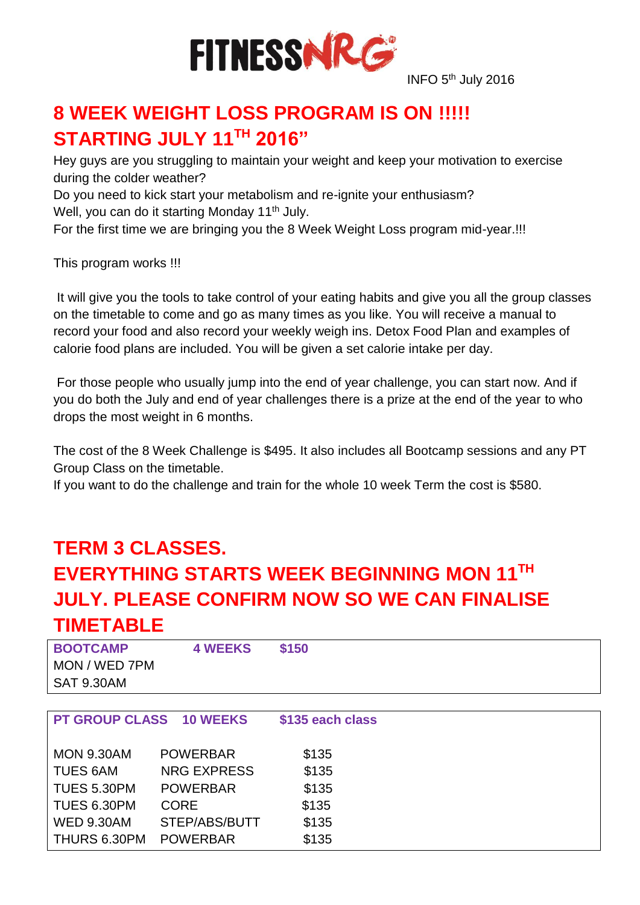

INFO 5<sup>th</sup> July 2016

# **8 WEEK WEIGHT LOSS PROGRAM IS ON !!!!! STARTING JULY 11TH 2016"**

Hey guys are you struggling to maintain your weight and keep your motivation to exercise during the colder weather?

Do you need to kick start your metabolism and re-ignite your enthusiasm?

Well, you can do it starting Monday 11<sup>th</sup> July.

For the first time we are bringing you the 8 Week Weight Loss program mid-year.!!!

This program works !!!

It will give you the tools to take control of your eating habits and give you all the group classes on the timetable to come and go as many times as you like. You will receive a manual to record your food and also record your weekly weigh ins. Detox Food Plan and examples of calorie food plans are included. You will be given a set calorie intake per day.

For those people who usually jump into the end of year challenge, you can start now. And if you do both the July and end of year challenges there is a prize at the end of the year to who drops the most weight in 6 months.

The cost of the 8 Week Challenge is \$495. It also includes all Bootcamp sessions and any PT Group Class on the timetable.

If you want to do the challenge and train for the whole 10 week Term the cost is \$580.

### **TERM 3 CLASSES.**

# **EVERYTHING STARTS WEEK BEGINNING MON 11TH JULY. PLEASE CONFIRM NOW SO WE CAN FINALISE TIMETABLE**

| <b>BOOTCAMP</b> | <b>4 WEEKS</b> | \$150 |  |  |
|-----------------|----------------|-------|--|--|
| MON / WED 7PM   |                |       |  |  |
| SAT 9.30AM      |                |       |  |  |

| PT GROUP CLASS 10 WEEKS |                    | \$135 each class |  |
|-------------------------|--------------------|------------------|--|
| <b>MON 9.30AM</b>       | <b>POWERBAR</b>    | \$135            |  |
| <b>TUES 6AM</b>         | <b>NRG EXPRESS</b> | \$135            |  |
| <b>TUES 5.30PM</b>      | <b>POWERBAR</b>    | \$135            |  |
| TUES 6.30PM             | <b>CORE</b>        | \$135            |  |
| <b>WED 9.30AM</b>       | STEP/ABS/BUTT      | \$135            |  |
| THURS 6.30PM            | <b>POWERBAR</b>    | \$135            |  |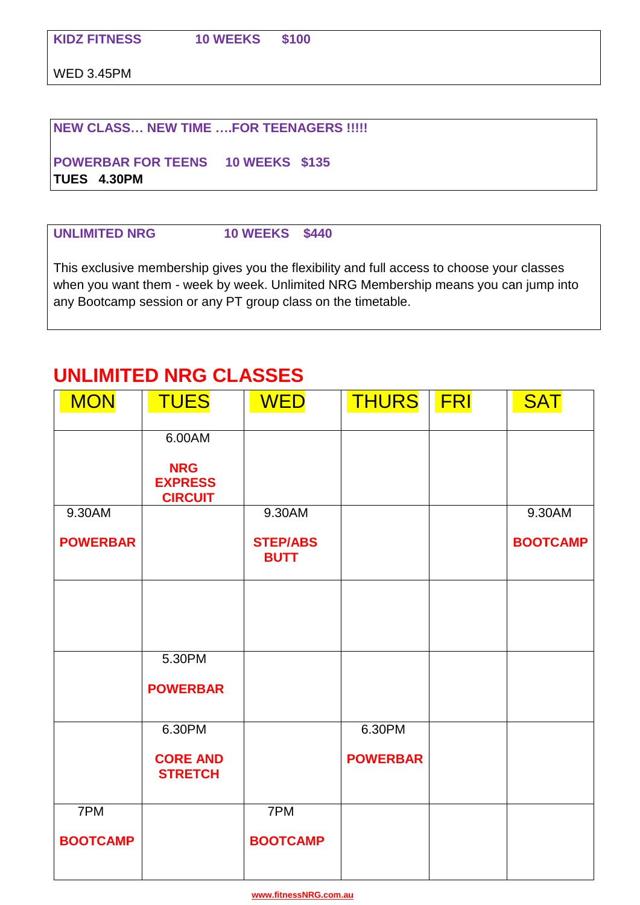WED 3.45PM

#### **NEW CLASS… NEW TIME ….FOR TEENAGERS !!!!!**

**POWERBAR FOR TEENS 10 WEEKS \$135 TUES 4.30PM**

#### **UNLIMITED NRG 10 WEEKS \$440**

This exclusive membership gives you the flexibility and full access to choose your classes when you want them - week by week. Unlimited NRG Membership means you can jump into any Bootcamp session or any PT group class on the timetable.

### **UNLIMITED NRG CLASSES**

| <b>MON</b>          | <b>TUES</b>                                    | <b>WED</b>                     | <b>THURS</b>    | <b>FRI</b> | <b>SAT</b>      |
|---------------------|------------------------------------------------|--------------------------------|-----------------|------------|-----------------|
|                     |                                                |                                |                 |            |                 |
|                     | 6.00AM                                         |                                |                 |            |                 |
|                     | <b>NRG</b><br><b>EXPRESS</b><br><b>CIRCUIT</b> |                                |                 |            |                 |
| $9.30A\overline{M}$ |                                                | 9.30AM                         |                 |            | 9.30AM          |
| <b>POWERBAR</b>     |                                                | <b>STEP/ABS</b><br><b>BUTT</b> |                 |            | <b>BOOTCAMP</b> |
|                     |                                                |                                |                 |            |                 |
|                     |                                                |                                |                 |            |                 |
|                     |                                                |                                |                 |            |                 |
|                     | 5.30PM                                         |                                |                 |            |                 |
|                     | <b>POWERBAR</b>                                |                                |                 |            |                 |
|                     |                                                |                                |                 |            |                 |
|                     | 6.30PM                                         |                                | 6.30PM          |            |                 |
|                     | <b>CORE AND</b><br><b>STRETCH</b>              |                                | <b>POWERBAR</b> |            |                 |
| 7PM                 |                                                | 7PM                            |                 |            |                 |
|                     |                                                |                                |                 |            |                 |
| <b>BOOTCAMP</b>     |                                                | <b>BOOTCAMP</b>                |                 |            |                 |
|                     |                                                |                                |                 |            |                 |